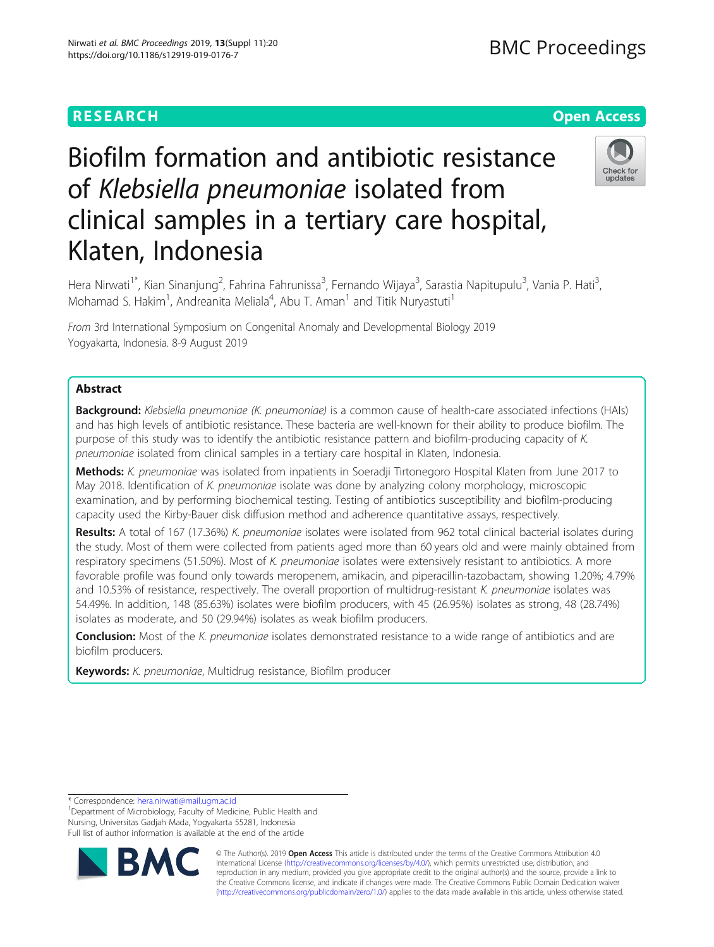# **RESEARCH CHEAR CHEAR CHEAR CHEAR CHEAR CHEAP CONTROL**

# Biofilm formation and antibiotic resistance of Klebsiella pneumoniae isolated from clinical samples in a tertiary care hospital, Klaten, Indonesia



Hera Nirwati<sup>1\*</sup>, Kian Sinanjung<sup>2</sup>, Fahrina Fahrunissa<sup>3</sup>, Fernando Wijaya<sup>3</sup>, Sarastia Napitupulu<sup>3</sup>, Vania P. Hati<sup>3</sup> , Mohamad S. Hakim<sup>1</sup>, Andreanita Meliala<sup>4</sup>, Abu T. Aman<sup>1</sup> and Titik Nuryastuti<sup>1</sup>

From 3rd International Symposium on Congenital Anomaly and Developmental Biology 2019 Yogyakarta, Indonesia. 8-9 August 2019

# Abstract

Background: Klebsiella pneumoniae (K. pneumoniae) is a common cause of health-care associated infections (HAIs) and has high levels of antibiotic resistance. These bacteria are well-known for their ability to produce biofilm. The purpose of this study was to identify the antibiotic resistance pattern and biofilm-producing capacity of K. pneumoniae isolated from clinical samples in a tertiary care hospital in Klaten, Indonesia.

Methods: K. pneumoniae was isolated from inpatients in Soeradji Tirtonegoro Hospital Klaten from June 2017 to May 2018. Identification of K. pneumoniae isolate was done by analyzing colony morphology, microscopic examination, and by performing biochemical testing. Testing of antibiotics susceptibility and biofilm-producing capacity used the Kirby-Bauer disk diffusion method and adherence quantitative assays, respectively.

Results: A total of 167 (17.36%) K. pneumoniae isolates were isolated from 962 total clinical bacterial isolates during the study. Most of them were collected from patients aged more than 60 years old and were mainly obtained from respiratory specimens (51.50%). Most of K. pneumoniae isolates were extensively resistant to antibiotics. A more favorable profile was found only towards meropenem, amikacin, and piperacillin-tazobactam, showing 1.20%; 4.79% and 10.53% of resistance, respectively. The overall proportion of multidrug-resistant K. pneumoniae isolates was 54.49%. In addition, 148 (85.63%) isolates were biofilm producers, with 45 (26.95%) isolates as strong, 48 (28.74%) isolates as moderate, and 50 (29.94%) isolates as weak biofilm producers.

**Conclusion:** Most of the K. pneumoniae isolates demonstrated resistance to a wide range of antibiotics and are biofilm producers.

Keywords: K. pneumoniae, Multidrug resistance, Biofilm producer

\* Correspondence: [hera.nirwati@mail.ugm.ac.id](mailto:hera.nirwati@mail.ugm.ac.id) <sup>1</sup>

<sup>1</sup>Department of Microbiology, Faculty of Medicine, Public Health and Nursing, Universitas Gadjah Mada, Yogyakarta 55281, Indonesia Full list of author information is available at the end of the article



© The Author(s). 2019 **Open Access** This article is distributed under the terms of the Creative Commons Attribution 4.0 International License [\(http://creativecommons.org/licenses/by/4.0/](http://creativecommons.org/licenses/by/4.0/)), which permits unrestricted use, distribution, and reproduction in any medium, provided you give appropriate credit to the original author(s) and the source, provide a link to the Creative Commons license, and indicate if changes were made. The Creative Commons Public Domain Dedication waiver [\(http://creativecommons.org/publicdomain/zero/1.0/](http://creativecommons.org/publicdomain/zero/1.0/)) applies to the data made available in this article, unless otherwise stated.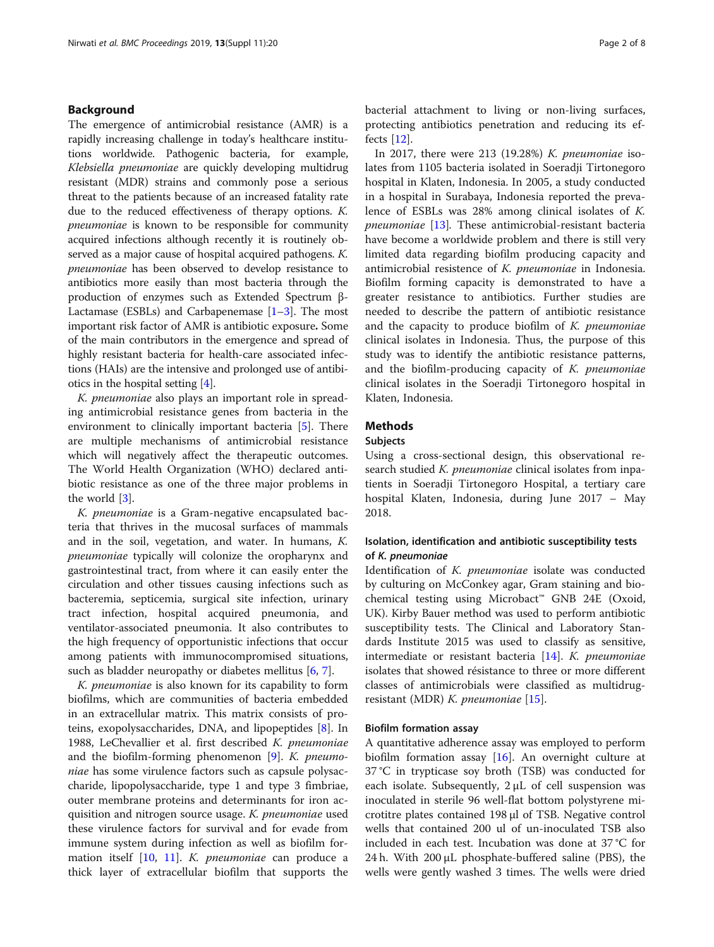# Background

The emergence of antimicrobial resistance (AMR) is a rapidly increasing challenge in today's healthcare institutions worldwide. Pathogenic bacteria, for example, Klebsiella pneumoniae are quickly developing multidrug resistant (MDR) strains and commonly pose a serious threat to the patients because of an increased fatality rate due to the reduced effectiveness of therapy options. K. pneumoniae is known to be responsible for community acquired infections although recently it is routinely observed as a major cause of hospital acquired pathogens. K. pneumoniae has been observed to develop resistance to antibiotics more easily than most bacteria through the production of enzymes such as Extended Spectrum β-Lactamase (ESBLs) and Carbapenemase  $[1-3]$  $[1-3]$  $[1-3]$ . The most important risk factor of AMR is antibiotic exposure. Some of the main contributors in the emergence and spread of highly resistant bacteria for health-care associated infections (HAIs) are the intensive and prolonged use of antibiotics in the hospital setting [\[4\]](#page-6-0).

K. pneumoniae also plays an important role in spreading antimicrobial resistance genes from bacteria in the environment to clinically important bacteria [[5](#page-6-0)]. There are multiple mechanisms of antimicrobial resistance which will negatively affect the therapeutic outcomes. The World Health Organization (WHO) declared antibiotic resistance as one of the three major problems in the world [\[3\]](#page-6-0).

K. pneumoniae is a Gram-negative encapsulated bacteria that thrives in the mucosal surfaces of mammals and in the soil, vegetation, and water. In humans, K. pneumoniae typically will colonize the oropharynx and gastrointestinal tract, from where it can easily enter the circulation and other tissues causing infections such as bacteremia, septicemia, surgical site infection, urinary tract infection, hospital acquired pneumonia, and ventilator-associated pneumonia. It also contributes to the high frequency of opportunistic infections that occur among patients with immunocompromised situations, such as bladder neuropathy or diabetes mellitus [[6,](#page-6-0) [7\]](#page-6-0).

K. pneumoniae is also known for its capability to form biofilms, which are communities of bacteria embedded in an extracellular matrix. This matrix consists of proteins, exopolysaccharides, DNA, and lipopeptides [[8\]](#page-6-0). In 1988, LeChevallier et al. first described K. pneumoniae and the biofilm-forming phenomenon [\[9](#page-6-0)]. K. pneumoniae has some virulence factors such as capsule polysaccharide, lipopolysaccharide, type 1 and type 3 fimbriae, outer membrane proteins and determinants for iron acquisition and nitrogen source usage. K. pneumoniae used these virulence factors for survival and for evade from immune system during infection as well as biofilm for-mation itself [\[10](#page-6-0), [11\]](#page-6-0). *K. pneumoniae* can produce a thick layer of extracellular biofilm that supports the bacterial attachment to living or non-living surfaces, protecting antibiotics penetration and reducing its effects [\[12](#page-6-0)].

In 2017, there were 213 (19.28%)  $K$ . pneumoniae isolates from 1105 bacteria isolated in Soeradji Tirtonegoro hospital in Klaten, Indonesia. In 2005, a study conducted in a hospital in Surabaya, Indonesia reported the prevalence of ESBLs was 28% among clinical isolates of K. pneumoniae [\[13\]](#page-6-0). These antimicrobial-resistant bacteria have become a worldwide problem and there is still very limited data regarding biofilm producing capacity and antimicrobial resistence of K. pneumoniae in Indonesia. Biofilm forming capacity is demonstrated to have a greater resistance to antibiotics. Further studies are needed to describe the pattern of antibiotic resistance and the capacity to produce biofilm of  $K$ . pneumoniae clinical isolates in Indonesia. Thus, the purpose of this study was to identify the antibiotic resistance patterns, and the biofilm-producing capacity of K. pneumoniae clinical isolates in the Soeradji Tirtonegoro hospital in Klaten, Indonesia.

# Methods

#### Subjects

Using a cross-sectional design, this observational research studied K. pneumoniae clinical isolates from inpatients in Soeradji Tirtonegoro Hospital, a tertiary care hospital Klaten, Indonesia, during June 2017 – May 2018.

# Isolation, identification and antibiotic susceptibility tests of K. pneumoniae

Identification of K. pneumoniae isolate was conducted by culturing on McConkey agar, Gram staining and biochemical testing using Microbact™ GNB 24E (Oxoid, UK). Kirby Bauer method was used to perform antibiotic susceptibility tests. The Clinical and Laboratory Standards Institute 2015 was used to classify as sensitive, intermediate or resistant bacteria [[14\]](#page-6-0). K. pneumoniae isolates that showed résistance to three or more different classes of antimicrobials were classified as multidrugresistant (MDR)  $K.$  pneumoniae [\[15\]](#page-6-0).

#### Biofilm formation assay

A quantitative adherence assay was employed to perform biofilm formation assay [\[16](#page-6-0)]. An overnight culture at 37 °C in trypticase soy broth (TSB) was conducted for each isolate. Subsequently,  $2 \mu L$  of cell suspension was inoculated in sterile 96 well-flat bottom polystyrene microtitre plates contained 198 μl of TSB. Negative control wells that contained 200 ul of un-inoculated TSB also included in each test. Incubation was done at 37 °C for 24 h. With 200 μL phosphate-buffered saline (PBS), the wells were gently washed 3 times. The wells were dried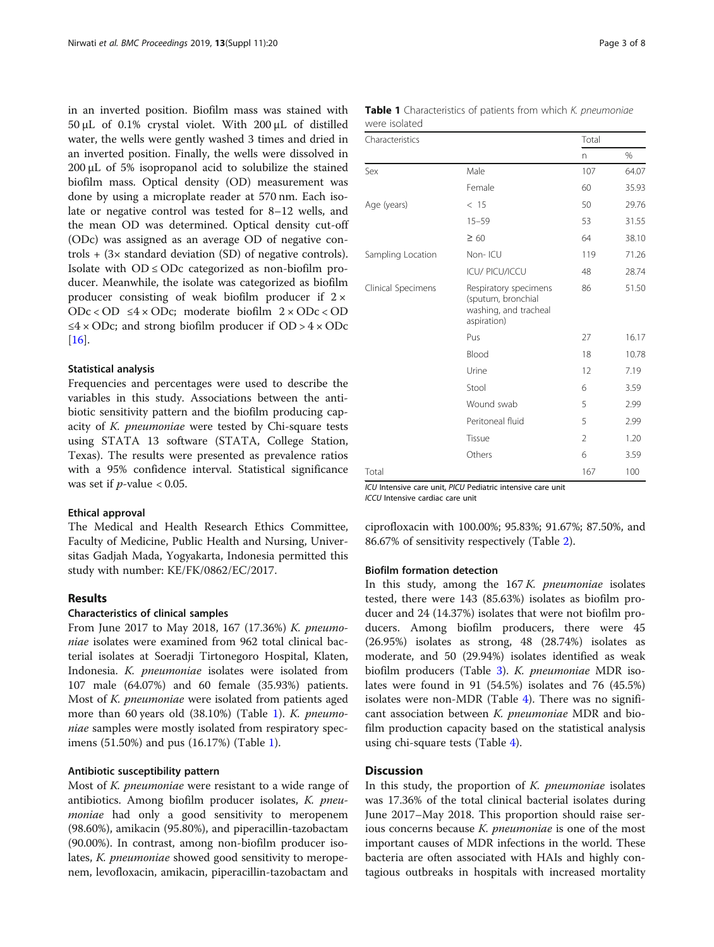in an inverted position. Biofilm mass was stained with 50 μL of 0.1% crystal violet. With 200 μL of distilled water, the wells were gently washed 3 times and dried in an inverted position. Finally, the wells were dissolved in 200 μL of 5% isopropanol acid to solubilize the stained biofilm mass. Optical density (OD) measurement was done by using a microplate reader at 570 nm. Each isolate or negative control was tested for 8–12 wells, and the mean OD was determined. Optical density cut-off (ODc) was assigned as an average OD of negative controls  $+$  (3 $\times$  standard deviation (SD) of negative controls). Isolate with  $OD \leq ODc$  categorized as non-biofilm producer. Meanwhile, the isolate was categorized as biofilm producer consisting of weak biofilm producer if  $2 \times$ ODc < OD ≤4 × ODc; moderate biofilm 2 × ODc < OD  $\leq 4 \times$  ODc; and strong biofilm producer if OD >  $4 \times$  ODc [[16\]](#page-6-0).

#### Statistical analysis

Frequencies and percentages were used to describe the variables in this study. Associations between the antibiotic sensitivity pattern and the biofilm producing capacity of K. pneumoniae were tested by Chi-square tests using STATA 13 software (STATA, College Station, Texas). The results were presented as prevalence ratios with a 95% confidence interval. Statistical significance was set if  $p$ -value < 0.05.

#### Ethical approval

The Medical and Health Research Ethics Committee, Faculty of Medicine, Public Health and Nursing, Universitas Gadjah Mada, Yogyakarta, Indonesia permitted this study with number: KE/FK/0862/EC/2017.

### Results

# Characteristics of clinical samples

From June 2017 to May 2018, 167 (17.36%) K. pneumoniae isolates were examined from 962 total clinical bacterial isolates at Soeradji Tirtonegoro Hospital, Klaten, Indonesia. K. pneumoniae isolates were isolated from 107 male (64.07%) and 60 female (35.93%) patients. Most of K. pneumoniae were isolated from patients aged more than 60 years old (38.10%) (Table 1). K. pneumoniae samples were mostly isolated from respiratory specimens (51.50%) and pus (16.17%) (Table 1).

#### Antibiotic susceptibility pattern

Most of K. pneumoniae were resistant to a wide range of antibiotics. Among biofilm producer isolates, K. pneumoniae had only a good sensitivity to meropenem (98.60%), amikacin (95.80%), and piperacillin-tazobactam (90.00%). In contrast, among non-biofilm producer isolates, K. pneumoniae showed good sensitivity to meropenem, levofloxacin, amikacin, piperacillin-tazobactam and

|               | <b>Table 1</b> Characteristics of patients from which K. pneumoniae |
|---------------|---------------------------------------------------------------------|
| were isolated |                                                                     |

| Characteristics                                                                                                                                 |                                                | Total |       |
|-------------------------------------------------------------------------------------------------------------------------------------------------|------------------------------------------------|-------|-------|
|                                                                                                                                                 |                                                | n     | $\%$  |
| Sex                                                                                                                                             | Male                                           | 107   | 64.07 |
|                                                                                                                                                 | Female                                         | 60    | 35.93 |
| Age (years)                                                                                                                                     | < 15                                           | 50    | 29.76 |
|                                                                                                                                                 | $15 - 59$                                      | 53    | 31.55 |
|                                                                                                                                                 | $\geq 60$                                      | 64    | 38.10 |
| Sampling Location                                                                                                                               | Non-ICU                                        | 119   | 71.26 |
|                                                                                                                                                 | <b>ICU/ PICU/ICCU</b>                          | 48    | 28.74 |
| Clinical Specimens<br>(sputum, bronchial<br>aspiration)<br>Pus<br>Blood<br>Urine<br>Stool<br>Wound swab<br>Peritoneal fluid<br>Tissue<br>Others | Respiratory specimens<br>washing, and tracheal | 86    | 51.50 |
|                                                                                                                                                 |                                                | 27    | 16.17 |
|                                                                                                                                                 |                                                | 18    | 10.78 |
|                                                                                                                                                 |                                                | 12    | 7.19  |
|                                                                                                                                                 |                                                | 6     | 3.59  |
|                                                                                                                                                 |                                                | 5     | 2.99  |
|                                                                                                                                                 |                                                | 5     | 2.99  |
|                                                                                                                                                 |                                                | 2     | 1.20  |
|                                                                                                                                                 |                                                | 6     | 3.59  |
| Total                                                                                                                                           |                                                | 167   | 100   |

ICU Intensive care unit, PICU Pediatric intensive care unit

ICCU Intensive cardiac care unit

ciprofloxacin with 100.00%; 95.83%; 91.67%; 87.50%, and 86.67% of sensitivity respectively (Table [2\)](#page-3-0).

#### Biofilm formation detection

In this study, among the  $167 K$ . *pneumoniae* isolates tested, there were 143 (85.63%) isolates as biofilm producer and 24 (14.37%) isolates that were not biofilm producers. Among biofilm producers, there were 45 (26.95%) isolates as strong, 48 (28.74%) isolates as moderate, and 50 (29.94%) isolates identified as weak biofilm producers (Table [3](#page-3-0)). K. pneumoniae MDR isolates were found in 91 (54.5%) isolates and 76 (45.5%) isolates were non-MDR (Table [4](#page-4-0)). There was no significant association between K. pneumoniae MDR and biofilm production capacity based on the statistical analysis using chi-square tests (Table [4](#page-4-0)).

# **Discussion**

In this study, the proportion of  $K$ . *pneumoniae* isolates was 17.36% of the total clinical bacterial isolates during June 2017–May 2018. This proportion should raise serious concerns because K. pneumoniae is one of the most important causes of MDR infections in the world. These bacteria are often associated with HAIs and highly contagious outbreaks in hospitals with increased mortality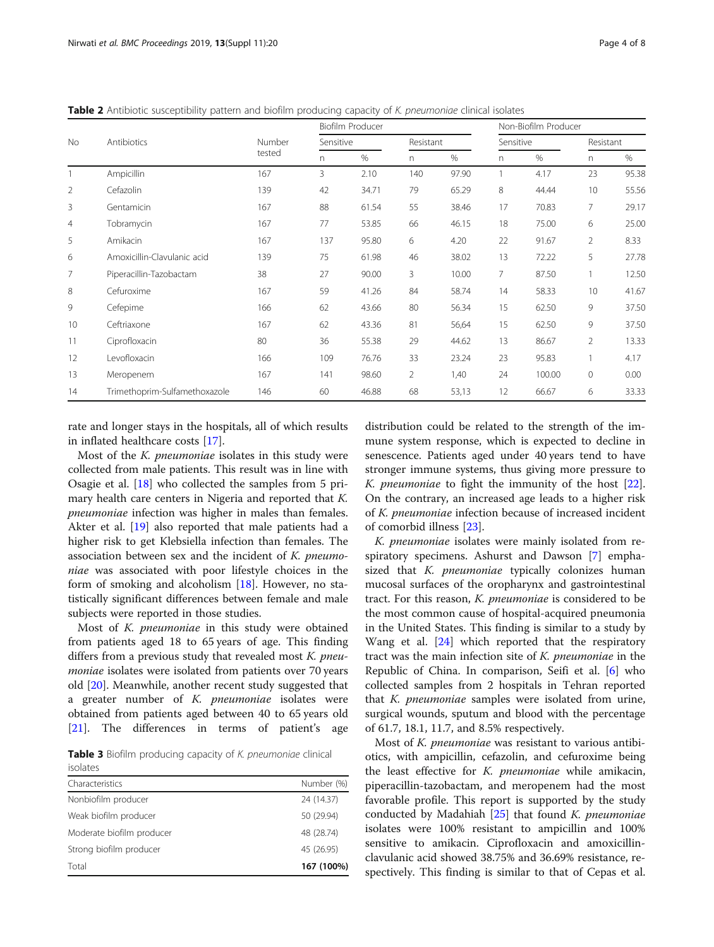<span id="page-3-0"></span>Table 2 Antibiotic susceptibility pattern and biofilm producing capacity of K. pneumoniae clinical isolates

| No             | Antibiotics                   | Number<br>tested | Biofilm Producer |       |              |       | Non-Biofilm Producer |        |                |       |
|----------------|-------------------------------|------------------|------------------|-------|--------------|-------|----------------------|--------|----------------|-------|
|                |                               |                  | Sensitive        |       | Resistant    |       | Sensitive            |        | Resistant      |       |
|                |                               |                  | n                | %     | $\mathsf{n}$ | %     | n.                   | $\%$   | n              | %     |
|                | Ampicillin                    | 167              | 3                | 2.10  | 140          | 97.90 | 1                    | 4.17   | 23             | 95.38 |
| $\overline{2}$ | Cefazolin                     | 139              | 42               | 34.71 | 79           | 65.29 | 8                    | 44.44  | 10             | 55.56 |
| 3              | Gentamicin                    | 167              | 88               | 61.54 | 55           | 38.46 | 17                   | 70.83  | 7              | 29.17 |
| 4              | Tobramycin                    | 167              | 77               | 53.85 | 66           | 46.15 | 18                   | 75.00  | 6              | 25.00 |
| 5              | Amikacin                      | 167              | 137              | 95.80 | 6            | 4.20  | 22                   | 91.67  | 2              | 8.33  |
| 6              | Amoxicillin-Clavulanic acid   | 139              | 75               | 61.98 | 46           | 38.02 | 13                   | 72.22  | 5              | 27.78 |
| 7              | Piperacillin-Tazobactam       | 38               | 27               | 90.00 | 3            | 10.00 | 7                    | 87.50  |                | 12.50 |
| 8              | Cefuroxime                    | 167              | 59               | 41.26 | 84           | 58.74 | 14                   | 58.33  | 10             | 41.67 |
| 9              | Cefepime                      | 166              | 62               | 43.66 | 80           | 56.34 | 15                   | 62.50  | 9              | 37.50 |
| 10             | Ceftriaxone                   | 167              | 62               | 43.36 | 81           | 56,64 | 15                   | 62.50  | 9              | 37.50 |
| 11             | Ciprofloxacin                 | 80               | 36               | 55.38 | 29           | 44.62 | 13                   | 86.67  | $\overline{2}$ | 13.33 |
| 12             | Levofloxacin                  | 166              | 109              | 76.76 | 33           | 23.24 | 23                   | 95.83  |                | 4.17  |
| 13             | Meropenem                     | 167              | 141              | 98.60 | 2            | 1,40  | 24                   | 100.00 | 0              | 0.00  |
| 14             | Trimethoprim-Sulfamethoxazole | 146              | 60               | 46.88 | 68           | 53,13 | 12                   | 66.67  | 6              | 33.33 |

rate and longer stays in the hospitals, all of which results in inflated healthcare costs [\[17](#page-6-0)].

Most of the K. pneumoniae isolates in this study were collected from male patients. This result was in line with Osagie et al. [[18](#page-6-0)] who collected the samples from 5 primary health care centers in Nigeria and reported that K. pneumoniae infection was higher in males than females. Akter et al. [[19](#page-6-0)] also reported that male patients had a higher risk to get Klebsiella infection than females. The association between sex and the incident of K. pneumoniae was associated with poor lifestyle choices in the form of smoking and alcoholism [\[18\]](#page-6-0). However, no statistically significant differences between female and male subjects were reported in those studies.

Most of K. pneumoniae in this study were obtained from patients aged 18 to 65 years of age. This finding differs from a previous study that revealed most  $K$ . pneumoniae isolates were isolated from patients over 70 years old [[20\]](#page-6-0). Meanwhile, another recent study suggested that a greater number of  $K$ . *pneumoniae* isolates were obtained from patients aged between 40 to 65 years old [[21\]](#page-6-0). The differences in terms of patient's age

Table 3 Biofilm producing capacity of K. pneumoniae clinical

| isolates                  |            |
|---------------------------|------------|
| Characteristics           | Number (%) |
| Nonbiofilm producer       | 24 (14.37) |
| Weak biofilm producer     | 50 (29.94) |
| Moderate biofilm producer | 48 (28.74) |
| Strong biofilm producer   | 45 (26.95) |
| Total                     | 167 (100%) |

distribution could be related to the strength of the immune system response, which is expected to decline in senescence. Patients aged under 40 years tend to have stronger immune systems, thus giving more pressure to K. pneumoniae to fight the immunity of the host [\[22](#page-6-0)]. On the contrary, an increased age leads to a higher risk of K. pneumoniae infection because of increased incident of comorbid illness [\[23\]](#page-6-0).

K. pneumoniae isolates were mainly isolated from respiratory specimens. Ashurst and Dawson [\[7](#page-6-0)] emphasized that K. *pneumoniae* typically colonizes human mucosal surfaces of the oropharynx and gastrointestinal tract. For this reason, K. pneumoniae is considered to be the most common cause of hospital-acquired pneumonia in the United States. This finding is similar to a study by Wang et al. [[24](#page-6-0)] which reported that the respiratory tract was the main infection site of  $K$ . pneumoniae in the Republic of China. In comparison, Seifi et al. [\[6](#page-6-0)] who collected samples from 2 hospitals in Tehran reported that K. pneumoniae samples were isolated from urine, surgical wounds, sputum and blood with the percentage of 61.7, 18.1, 11.7, and 8.5% respectively.

Most of K. pneumoniae was resistant to various antibiotics, with ampicillin, cefazolin, and cefuroxime being the least effective for K. pneumoniae while amikacin, piperacillin-tazobactam, and meropenem had the most favorable profile. This report is supported by the study conducted by Madahiah  $[25]$  that found K. pneumoniae isolates were 100% resistant to ampicillin and 100% sensitive to amikacin. Ciprofloxacin and amoxicillinclavulanic acid showed 38.75% and 36.69% resistance, respectively. This finding is similar to that of Cepas et al.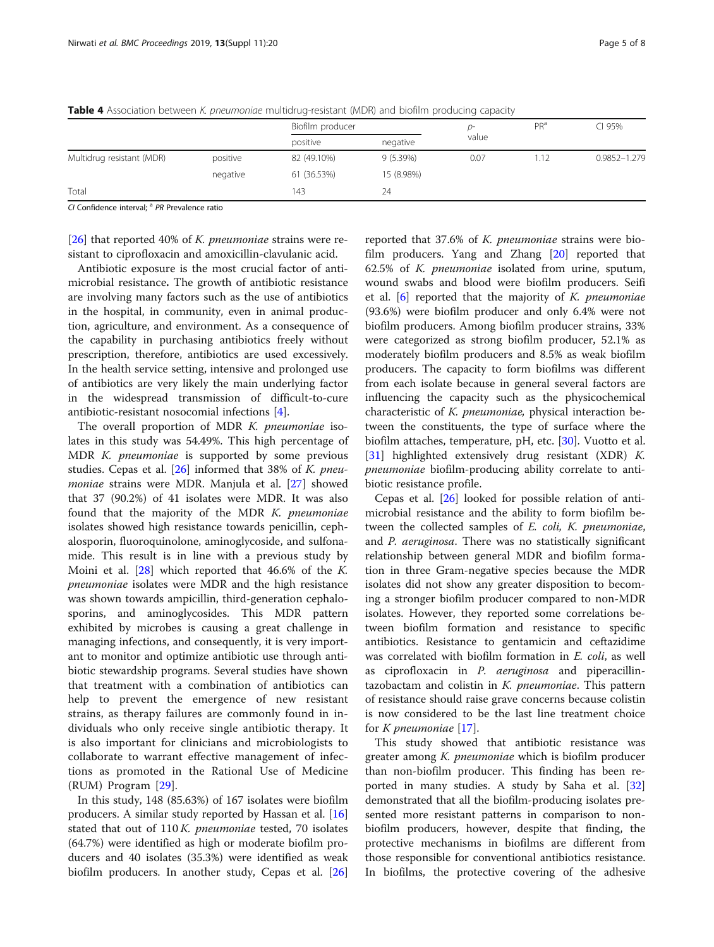|          | Biofilm producer |            | D-    | PR <sup>a</sup> | CI 95%       |
|----------|------------------|------------|-------|-----------------|--------------|
|          | positive         | negative   | value |                 |              |
| positive | 82 (49.10%)      | 9(5.39%)   | 0.07  | 1.12            | 0.9852-1.279 |
| negative | 61 (36.53%)      | 15 (8.98%) |       |                 |              |
|          | 143              | 24         |       |                 |              |
|          |                  |            |       |                 |              |

<span id="page-4-0"></span>Table 4 Association between K. pneumoniae multidrug-resistant (MDR) and biofilm producing capacity

CI Confidence interval; <sup>a</sup> PR Prevalence ratio

[ $26$ ] that reported 40% of *K. pneumoniae* strains were resistant to ciprofloxacin and amoxicillin-clavulanic acid.

Antibiotic exposure is the most crucial factor of antimicrobial resistance. The growth of antibiotic resistance are involving many factors such as the use of antibiotics in the hospital, in community, even in animal production, agriculture, and environment. As a consequence of the capability in purchasing antibiotics freely without prescription, therefore, antibiotics are used excessively. In the health service setting, intensive and prolonged use of antibiotics are very likely the main underlying factor in the widespread transmission of difficult-to-cure antibiotic-resistant nosocomial infections [\[4](#page-6-0)].

The overall proportion of MDR K. pneumoniae isolates in this study was 54.49%. This high percentage of MDR K. pneumoniae is supported by some previous studies. Cepas et al.  $[26]$  $[26]$  informed that 38% of K. pneumoniae strains were MDR. Manjula et al. [\[27](#page-6-0)] showed that 37 (90.2%) of 41 isolates were MDR. It was also found that the majority of the MDR K. pneumoniae isolates showed high resistance towards penicillin, cephalosporin, fluoroquinolone, aminoglycoside, and sulfonamide. This result is in line with a previous study by Moini et al. [[28](#page-6-0)] which reported that 46.6% of the K. pneumoniae isolates were MDR and the high resistance was shown towards ampicillin, third-generation cephalosporins, and aminoglycosides. This MDR pattern exhibited by microbes is causing a great challenge in managing infections, and consequently, it is very important to monitor and optimize antibiotic use through antibiotic stewardship programs. Several studies have shown that treatment with a combination of antibiotics can help to prevent the emergence of new resistant strains, as therapy failures are commonly found in individuals who only receive single antibiotic therapy. It is also important for clinicians and microbiologists to collaborate to warrant effective management of infections as promoted in the Rational Use of Medicine (RUM) Program [[29\]](#page-6-0).

In this study, 148 (85.63%) of 167 isolates were biofilm producers. A similar study reported by Hassan et al. [[16](#page-6-0)] stated that out of  $110 K$ . pneumoniae tested, 70 isolates (64.7%) were identified as high or moderate biofilm producers and 40 isolates (35.3%) were identified as weak biofilm producers. In another study, Cepas et al. [[26](#page-6-0)]

reported that 37.6% of K. pneumoniae strains were biofilm producers. Yang and Zhang [[20](#page-6-0)] reported that 62.5% of K. pneumoniae isolated from urine, sputum, wound swabs and blood were biofilm producers. Seifi et al.  $[6]$  $[6]$  reported that the majority of K. pneumoniae (93.6%) were biofilm producer and only 6.4% were not biofilm producers. Among biofilm producer strains, 33% were categorized as strong biofilm producer, 52.1% as moderately biofilm producers and 8.5% as weak biofilm producers. The capacity to form biofilms was different from each isolate because in general several factors are influencing the capacity such as the physicochemical characteristic of K. pneumoniae, physical interaction between the constituents, the type of surface where the biofilm attaches, temperature, pH, etc. [[30\]](#page-6-0). Vuotto et al. [[31\]](#page-6-0) highlighted extensively drug resistant (XDR) K. pneumoniae biofilm-producing ability correlate to antibiotic resistance profile.

Cepas et al. [[26\]](#page-6-0) looked for possible relation of antimicrobial resistance and the ability to form biofilm between the collected samples of E. coli, K. pneumoniae, and P. aeruginosa. There was no statistically significant relationship between general MDR and biofilm formation in three Gram-negative species because the MDR isolates did not show any greater disposition to becoming a stronger biofilm producer compared to non-MDR isolates. However, they reported some correlations between biofilm formation and resistance to specific antibiotics. Resistance to gentamicin and ceftazidime was correlated with biofilm formation in E. coli, as well as ciprofloxacin in P. aeruginosa and piperacillintazobactam and colistin in  $K$ . pneumoniae. This pattern of resistance should raise grave concerns because colistin is now considered to be the last line treatment choice for K pneumoniae [[17\]](#page-6-0).

This study showed that antibiotic resistance was greater among K. pneumoniae which is biofilm producer than non-biofilm producer. This finding has been reported in many studies. A study by Saha et al. [[32](#page-6-0)] demonstrated that all the biofilm-producing isolates presented more resistant patterns in comparison to nonbiofilm producers, however, despite that finding, the protective mechanisms in biofilms are different from those responsible for conventional antibiotics resistance. In biofilms, the protective covering of the adhesive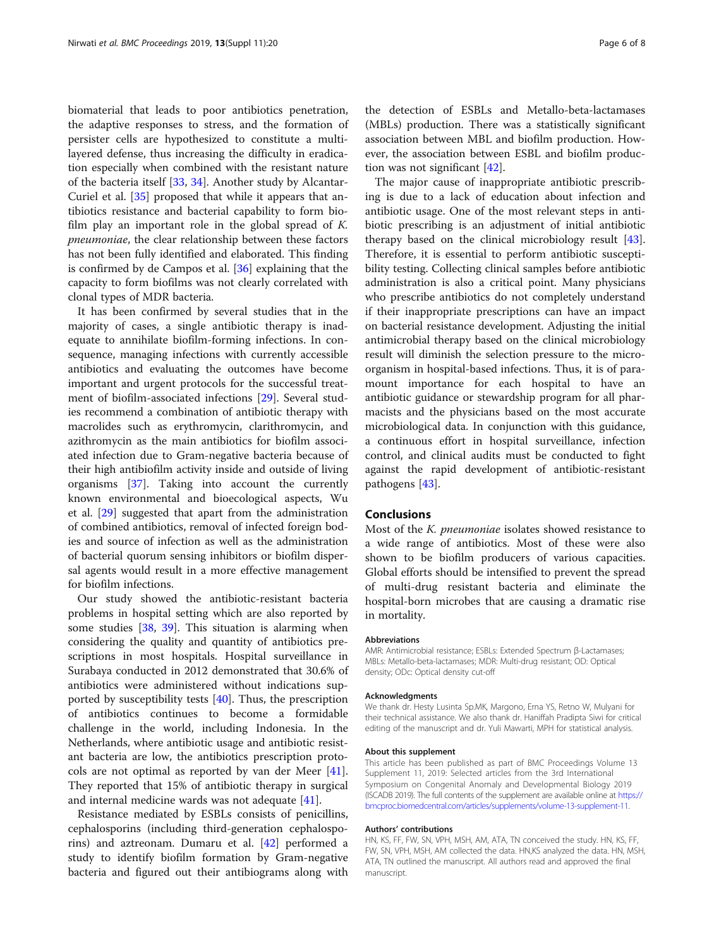biomaterial that leads to poor antibiotics penetration, the adaptive responses to stress, and the formation of persister cells are hypothesized to constitute a multilayered defense, thus increasing the difficulty in eradication especially when combined with the resistant nature of the bacteria itself [\[33](#page-6-0), [34](#page-6-0)]. Another study by Alcantar-Curiel et al. [[35\]](#page-6-0) proposed that while it appears that antibiotics resistance and bacterial capability to form biofilm play an important role in the global spread of K. pneumoniae, the clear relationship between these factors has not been fully identified and elaborated. This finding is confirmed by de Campos et al. [[36\]](#page-7-0) explaining that the capacity to form biofilms was not clearly correlated with clonal types of MDR bacteria.

It has been confirmed by several studies that in the majority of cases, a single antibiotic therapy is inadequate to annihilate biofilm-forming infections. In consequence, managing infections with currently accessible antibiotics and evaluating the outcomes have become important and urgent protocols for the successful treatment of biofilm-associated infections [[29\]](#page-6-0). Several studies recommend a combination of antibiotic therapy with macrolides such as erythromycin, clarithromycin, and azithromycin as the main antibiotics for biofilm associated infection due to Gram-negative bacteria because of their high antibiofilm activity inside and outside of living organisms [\[37](#page-7-0)]. Taking into account the currently known environmental and bioecological aspects, Wu et al. [[29](#page-6-0)] suggested that apart from the administration of combined antibiotics, removal of infected foreign bodies and source of infection as well as the administration of bacterial quorum sensing inhibitors or biofilm dispersal agents would result in a more effective management for biofilm infections.

Our study showed the antibiotic-resistant bacteria problems in hospital setting which are also reported by some studies [[38](#page-7-0), [39\]](#page-7-0). This situation is alarming when considering the quality and quantity of antibiotics prescriptions in most hospitals. Hospital surveillance in Surabaya conducted in 2012 demonstrated that 30.6% of antibiotics were administered without indications supported by susceptibility tests [\[40](#page-7-0)]. Thus, the prescription of antibiotics continues to become a formidable challenge in the world, including Indonesia. In the Netherlands, where antibiotic usage and antibiotic resistant bacteria are low, the antibiotics prescription protocols are not optimal as reported by van der Meer [\[41](#page-7-0)]. They reported that 15% of antibiotic therapy in surgical and internal medicine wards was not adequate [\[41](#page-7-0)].

Resistance mediated by ESBLs consists of penicillins, cephalosporins (including third-generation cephalosporins) and aztreonam. Dumaru et al. [\[42](#page-7-0)] performed a study to identify biofilm formation by Gram-negative bacteria and figured out their antibiograms along with the detection of ESBLs and Metallo-beta-lactamases (MBLs) production. There was a statistically significant association between MBL and biofilm production. However, the association between ESBL and biofilm production was not significant [\[42](#page-7-0)].

The major cause of inappropriate antibiotic prescribing is due to a lack of education about infection and antibiotic usage. One of the most relevant steps in antibiotic prescribing is an adjustment of initial antibiotic therapy based on the clinical microbiology result [\[43](#page-7-0)]. Therefore, it is essential to perform antibiotic susceptibility testing. Collecting clinical samples before antibiotic administration is also a critical point. Many physicians who prescribe antibiotics do not completely understand if their inappropriate prescriptions can have an impact on bacterial resistance development. Adjusting the initial antimicrobial therapy based on the clinical microbiology result will diminish the selection pressure to the microorganism in hospital-based infections. Thus, it is of paramount importance for each hospital to have an antibiotic guidance or stewardship program for all pharmacists and the physicians based on the most accurate microbiological data. In conjunction with this guidance, a continuous effort in hospital surveillance, infection control, and clinical audits must be conducted to fight against the rapid development of antibiotic-resistant pathogens [\[43](#page-7-0)].

# Conclusions

Most of the *K. pneumoniae* isolates showed resistance to a wide range of antibiotics. Most of these were also shown to be biofilm producers of various capacities. Global efforts should be intensified to prevent the spread of multi-drug resistant bacteria and eliminate the hospital-born microbes that are causing a dramatic rise in mortality.

#### Abbreviations

AMR: Antimicrobial resistance; ESBLs: Extended Spectrum β-Lactamases; MBLs: Metallo-beta-lactamases; MDR: Multi-drug resistant; OD: Optical density; ODc: Optical density cut-off

#### Acknowledgments

We thank dr. Hesty Lusinta Sp.MK, Margono, Erna YS, Retno W, Mulyani for their technical assistance. We also thank dr. Haniffah Pradipta Siwi for critical editing of the manuscript and dr. Yuli Mawarti, MPH for statistical analysis.

#### About this supplement

This article has been published as part of BMC Proceedings Volume 13 Supplement 11, 2019: Selected articles from the 3rd International Symposium on Congenital Anomaly and Developmental Biology 2019 (ISCADB 2019). The full contents of the supplement are available online at [https://](https://bmcproc.biomedcentral.com/articles/supplements/volume-13-supplement-11) [bmcproc.biomedcentral.com/articles/supplements/volume-13-supplement-11](https://bmcproc.biomedcentral.com/articles/supplements/volume-13-supplement-11).

#### Authors' contributions

HN, KS, FF, FW, SN, VPH, MSH, AM, ATA, TN conceived the study. HN, KS, FF, FW, SN, VPH, MSH, AM collected the data. HN,KS analyzed the data. HN, MSH, ATA, TN outlined the manuscript. All authors read and approved the final manuscript.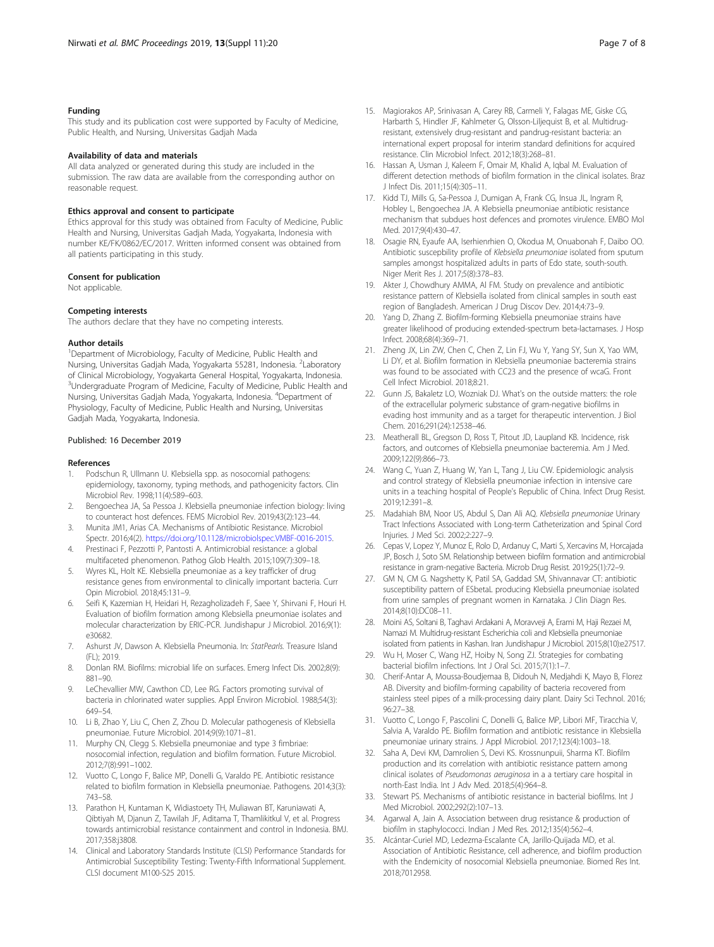#### <span id="page-6-0"></span>Funding

This study and its publication cost were supported by Faculty of Medicine, Public Health, and Nursing, Universitas Gadjah Mada

#### Availability of data and materials

All data analyzed or generated during this study are included in the submission. The raw data are available from the corresponding author on reasonable request.

#### Ethics approval and consent to participate

Ethics approval for this study was obtained from Faculty of Medicine, Public Health and Nursing, Universitas Gadjah Mada, Yogyakarta, Indonesia with number KE/FK/0862/EC/2017. Written informed consent was obtained from all patients participating in this study.

#### Consent for publication

Not applicable.

#### Competing interests

The authors declare that they have no competing interests.

#### Author details

<sup>1</sup>Department of Microbiology, Faculty of Medicine, Public Health and Nursing, Universitas Gadjah Mada, Yogyakarta 55281, Indonesia. <sup>2</sup>Laboratory of Clinical Microbiology, Yogyakarta General Hospital, Yogyakarta, Indonesia. <sup>3</sup>Undergraduate Program of Medicine, Faculty of Medicine, Public Health and Nursing, Universitas Gadjah Mada, Yogyakarta, Indonesia. <sup>4</sup> Department of Physiology, Faculty of Medicine, Public Health and Nursing, Universitas Gadjah Mada, Yogyakarta, Indonesia.

#### Published: 16 December 2019

#### References

- Podschun R, Ullmann U. Klebsiella spp. as nosocomial pathogens: epidemiology, taxonomy, typing methods, and pathogenicity factors. Clin Microbiol Rev. 1998;11(4):589–603.
- 2. Bengoechea JA, Sa Pessoa J. Klebsiella pneumoniae infection biology: living to counteract host defences. FEMS Microbiol Rev. 2019;43(2):123–44.
- 3. Munita JM1, Arias CA. Mechanisms of Antibiotic Resistance. Microbiol Spectr. 2016;4(2). <https://doi.org/10.1128/microbiolspec.VMBF-0016-2015>.
- 4. Prestinaci F, Pezzotti P, Pantosti A. Antimicrobial resistance: a global multifaceted phenomenon. Pathog Glob Health. 2015;109(7):309–18.
- 5. Wyres KL, Holt KE. Klebsiella pneumoniae as a key trafficker of drug resistance genes from environmental to clinically important bacteria. Curr Opin Microbiol. 2018;45:131–9.
- 6. Seifi K, Kazemian H, Heidari H, Rezagholizadeh F, Saee Y, Shirvani F, Houri H. Evaluation of biofilm formation among Klebsiella pneumoniae isolates and molecular characterization by ERIC-PCR. Jundishapur J Microbiol. 2016;9(1): e30682.
- 7. Ashurst JV, Dawson A. Klebsiella Pneumonia. In: StatPearls. Treasure Island (FL); 2019.
- 8. Donlan RM. Biofilms: microbial life on surfaces. Emerg Infect Dis. 2002;8(9): 881–90.
- 9. LeChevallier MW, Cawthon CD, Lee RG. Factors promoting survival of bacteria in chlorinated water supplies. Appl Environ Microbiol. 1988;54(3): 649–54.
- 10. Li B, Zhao Y, Liu C, Chen Z, Zhou D. Molecular pathogenesis of Klebsiella pneumoniae. Future Microbiol. 2014;9(9):1071–81.
- 11. Murphy CN, Clegg S. Klebsiella pneumoniae and type 3 fimbriae: nosocomial infection, regulation and biofilm formation. Future Microbiol. 2012;7(8):991–1002.
- 12. Vuotto C, Longo F, Balice MP, Donelli G, Varaldo PE. Antibiotic resistance related to biofilm formation in Klebsiella pneumoniae. Pathogens. 2014;3(3): 743–58.
- 13. Parathon H, Kuntaman K, Widiastoety TH, Muliawan BT, Karuniawati A, Qibtiyah M, Djanun Z, Tawilah JF, Aditama T, Thamlikitkul V, et al. Progress towards antimicrobial resistance containment and control in Indonesia. BMJ. 2017;358:j3808.
- 14. Clinical and Laboratory Standards Institute (CLSI) Performance Standards for Antimicrobial Susceptibility Testing: Twenty-Fifth Informational Supplement. CLSI document M100-S25 2015.
- 15. Magiorakos AP, Srinivasan A, Carey RB, Carmeli Y, Falagas ME, Giske CG, Harbarth S, Hindler JF, Kahlmeter G, Olsson-Liljequist B, et al. Multidrugresistant, extensively drug-resistant and pandrug-resistant bacteria: an international expert proposal for interim standard definitions for acquired resistance. Clin Microbiol Infect. 2012;18(3):268–81.
- 16. Hassan A, Usman J, Kaleem F, Omair M, Khalid A, Iqbal M. Evaluation of different detection methods of biofilm formation in the clinical isolates. Braz J Infect Dis. 2011;15(4):305–11.
- 17. Kidd TJ, Mills G, Sa-Pessoa J, Dumigan A, Frank CG, Insua JL, Ingram R, Hobley L, Bengoechea JA. A Klebsiella pneumoniae antibiotic resistance mechanism that subdues host defences and promotes virulence. EMBO Mol Med. 2017;9(4):430–47.
- 18. Osagie RN, Eyaufe AA, Iserhienrhien O, Okodua M, Onuabonah F, Daibo OO. Antibiotic suscepbility profile of Klebsiella pneumoniae isolated from sputum samples amongst hospitalized adults in parts of Edo state, south-south. Niger Merit Res J. 2017;5(8):378–83.
- 19. Akter J, Chowdhury AMMA, Al FM. Study on prevalence and antibiotic resistance pattern of Klebsiella isolated from clinical samples in south east region of Bangladesh. American J Drug Discov Dev. 2014;4:73–9.
- 20. Yang D, Zhang Z. Biofilm-forming Klebsiella pneumoniae strains have greater likelihood of producing extended-spectrum beta-lactamases. J Hosp Infect. 2008;68(4):369–71.
- 21. Zheng JX, Lin ZW, Chen C, Chen Z, Lin FJ, Wu Y, Yang SY, Sun X, Yao WM, Li DY, et al. Biofilm formation in Klebsiella pneumoniae bacteremia strains was found to be associated with CC23 and the presence of wcaG. Front Cell Infect Microbiol. 2018;8:21.
- 22. Gunn JS, Bakaletz LO, Wozniak DJ. What's on the outside matters: the role of the extracellular polymeric substance of gram-negative biofilms in evading host immunity and as a target for therapeutic intervention. J Biol Chem. 2016;291(24):12538–46.
- 23. Meatherall BL, Gregson D, Ross T, Pitout JD, Laupland KB. Incidence, risk factors, and outcomes of Klebsiella pneumoniae bacteremia. Am J Med. 2009;122(9):866–73.
- 24. Wang C, Yuan Z, Huang W, Yan L, Tang J, Liu CW. Epidemiologic analysis and control strategy of Klebsiella pneumoniae infection in intensive care units in a teaching hospital of People's Republic of China. Infect Drug Resist. 2019;12:391–8.
- 25. Madahiah BM, Noor US, Abdul S, Dan Ali AQ. Klebsiella pneumoniae Urinary Tract Infections Associated with Long-term Catheterization and Spinal Cord Injuries. J Med Sci. 2002;2:227–9.
- 26. Cepas V, Lopez Y, Munoz E, Rolo D, Ardanuy C, Marti S, Xercavins M, Horcajada JP, Bosch J, Soto SM. Relationship between biofilm formation and antimicrobial resistance in gram-negative Bacteria. Microb Drug Resist. 2019;25(1):72–9.
- 27. GM N, CM G. Nagshetty K, Patil SA, Gaddad SM, Shivannavar CT: antibiotic susceptibility pattern of ESbetaL producing Klebsiella pneumoniae isolated from urine samples of pregnant women in Karnataka. J Clin Diagn Res. 2014;8(10):DC08–11.
- 28. Moini AS, Soltani B, Taghavi Ardakani A, Moravveji A, Erami M, Haji Rezaei M, Namazi M. Multidrug-resistant Escherichia coli and Klebsiella pneumoniae isolated from patients in Kashan. Iran Jundishapur J Microbiol. 2015;8(10):e27517.
- 29. Wu H, Moser C, Wang HZ, Hoiby N, Song ZJ. Strategies for combating bacterial biofilm infections. Int J Oral Sci. 2015;7(1):1–7.
- 30. Cherif-Antar A, Moussa-Boudjemaa B, Didouh N, Medjahdi K, Mayo B, Florez AB. Diversity and biofilm-forming capability of bacteria recovered from stainless steel pipes of a milk-processing dairy plant. Dairy Sci Technol. 2016; 96:27–38.
- 31. Vuotto C, Longo F, Pascolini C, Donelli G, Balice MP, Libori MF, Tiracchia V, Salvia A, Varaldo PE. Biofilm formation and antibiotic resistance in Klebsiella pneumoniae urinary strains. J Appl Microbiol. 2017;123(4):1003–18.
- 32. Saha A, Devi KM, Damrolien S, Devi KS. Krossnunpuii, Sharma KT. Biofilm production and its correlation with antibiotic resistance pattern among clinical isolates of Pseudomonas aeruginosa in a a tertiary care hospital in north-East India. Int J Adv Med. 2018;5(4):964–8.
- 33. Stewart PS. Mechanisms of antibiotic resistance in bacterial biofilms. Int J Med Microbiol. 2002;292(2):107–13.
- 34. Agarwal A, Jain A. Association between drug resistance & production of biofilm in staphylococci. Indian J Med Res. 2012;135(4):562–4.
- 35. Alcántar-Curiel MD, Ledezma-Escalante CA, Jarillo-Quijada MD, et al. Association of Antibiotic Resistance, cell adherence, and biofilm production with the Endemicity of nosocomial Klebsiella pneumoniae. Biomed Res Int. 2018;7012958.